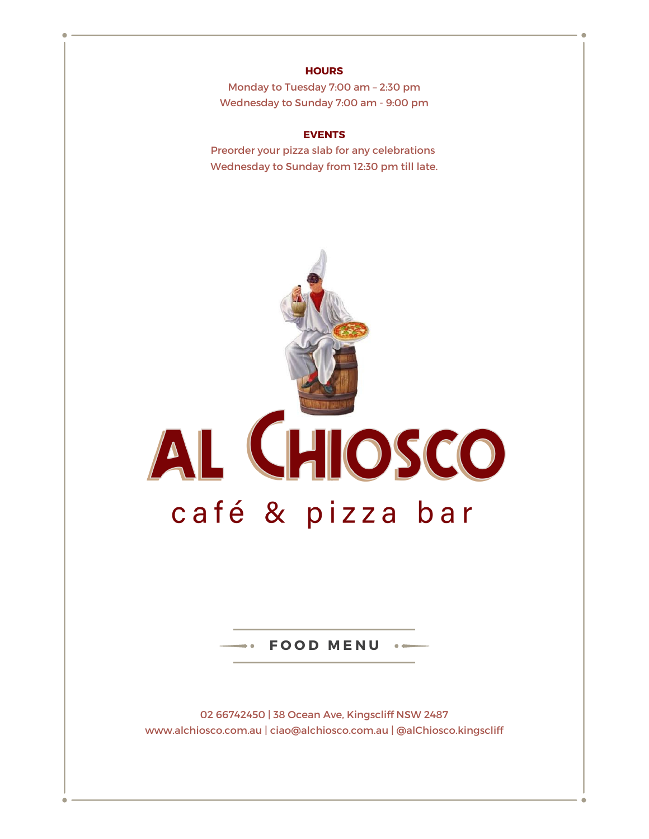### **HOURS**

Monday to Tuesday 7:00 am – 2:30 pm Wednesday to Sunday 7:00 am - 9:00 pm

#### **EVENTS**

Preorder your pizza slab for any celebrations Wednesday to Sunday from 12:30 pm till late.



 $\cdot$  **FOOD MENU** 

02 66742450 | 38 Ocean Ave, Kingscliff NSW 2487 www.alchiosco.com.au | ciao@alchiosco.com.au | @alChiosco.kingscliff